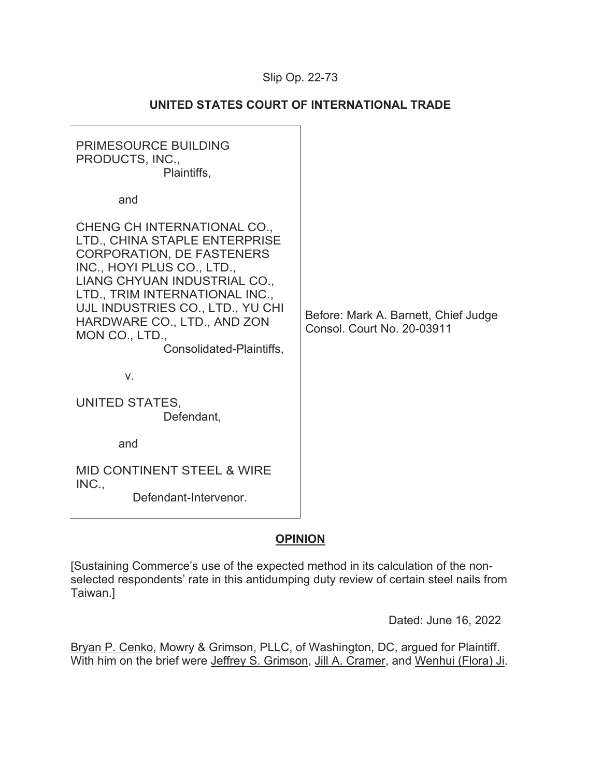# Slip Op. 22-73

| <b>PRIMESOURCE BUILDING</b><br>PRODUCTS, INC.,<br>Plaintiffs,                                                                                                                                                                                                                                                     |                                                                           |
|-------------------------------------------------------------------------------------------------------------------------------------------------------------------------------------------------------------------------------------------------------------------------------------------------------------------|---------------------------------------------------------------------------|
| and                                                                                                                                                                                                                                                                                                               |                                                                           |
| CHENG CH INTERNATIONAL CO.,<br>LTD., CHINA STAPLE ENTERPRISE<br><b>CORPORATION, DE FASTENERS</b><br>INC., HOYI PLUS CO., LTD.,<br>LIANG CHYUAN INDUSTRIAL CO.,<br>LTD., TRIM INTERNATIONAL INC.,<br>UJL INDUSTRIES CO., LTD., YU CHI<br>HARDWARE CO., LTD., AND ZON<br>MON CO., LTD.,<br>Consolidated-Plaintiffs, | Before: Mark A. Barnett, Chief Judge<br><b>Consol. Court No. 20-03911</b> |
| V.                                                                                                                                                                                                                                                                                                                |                                                                           |
| UNITED STATES,<br>Defendant,                                                                                                                                                                                                                                                                                      |                                                                           |
| and                                                                                                                                                                                                                                                                                                               |                                                                           |
| <b>MID CONTINENT STEEL &amp; WIRE</b>                                                                                                                                                                                                                                                                             |                                                                           |
| INC.,<br>Defendant-Intervenor.                                                                                                                                                                                                                                                                                    |                                                                           |

# **UNITED STATES COURT OF INTERNATIONAL TRADE**

# **OPINION**

[Sustaining Commerce's use of the expected method in its calculation of the nonselected respondents' rate in this antidumping duty review of certain steel nails from Taiwan.]

Dated: June 16, 2022

Bryan P. Cenko, Mowry & Grimson, PLLC, of Washington, DC, argued for Plaintiff. With him on the brief were Jeffrey S. Grimson, Jill A. Cramer, and Wenhui (Flora) Ji.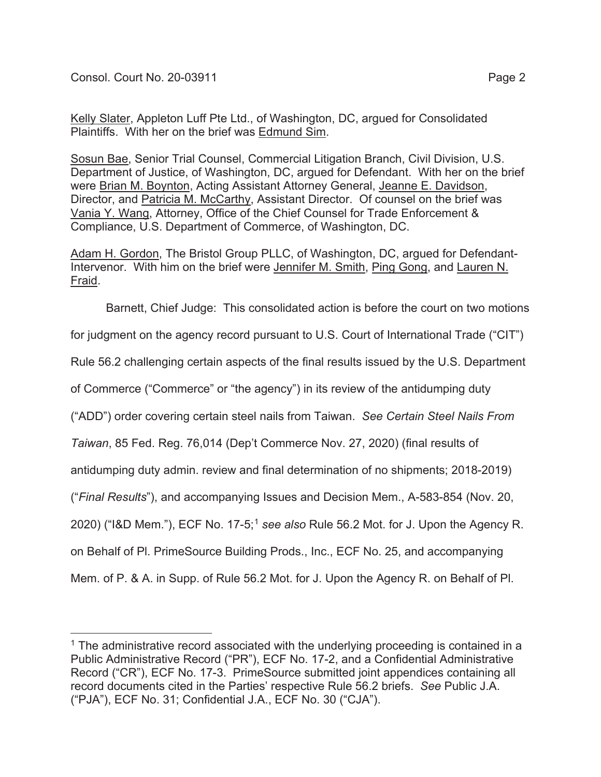Kelly Slater, Appleton Luff Pte Ltd., of Washington, DC, argued for Consolidated Plaintiffs. With her on the brief was Edmund Sim.

Sosun Bae, Senior Trial Counsel, Commercial Litigation Branch, Civil Division, U.S. Department of Justice, of Washington, DC, argued for Defendant. With her on the brief were Brian M. Boynton, Acting Assistant Attorney General, Jeanne E. Davidson, Director, and Patricia M. McCarthy, Assistant Director. Of counsel on the brief was Vania Y. Wang, Attorney, Office of the Chief Counsel for Trade Enforcement & Compliance, U.S. Department of Commerce, of Washington, DC.

Adam H. Gordon, The Bristol Group PLLC, of Washington, DC, argued for Defendant-Intervenor. With him on the brief were Jennifer M. Smith, Ping Gong, and Lauren N. Fraid.

Barnett, Chief Judge: This consolidated action is before the court on two motions

for judgment on the agency record pursuant to U.S. Court of International Trade ("CIT")

Rule 56.2 challenging certain aspects of the final results issued by the U.S. Department

of Commerce ("Commerce" or "the agency") in its review of the antidumping duty

("ADD") order covering certain steel nails from Taiwan. *See Certain Steel Nails From* 

*Taiwan*, 85 Fed. Reg. 76,014 (Dep't Commerce Nov. 27, 2020) (final results of

antidumping duty admin. review and final determination of no shipments; 2018-2019)

("*Final Results*"), and accompanying Issues and Decision Mem., A-583-854 (Nov. 20,

2020) ("I&D Mem."), ECF No. 17-5;1 *see also* Rule 56.2 Mot. for J. Upon the Agency R.

on Behalf of Pl. PrimeSource Building Prods., Inc., ECF No. 25, and accompanying

Mem. of P. & A. in Supp. of Rule 56.2 Mot. for J. Upon the Agency R. on Behalf of Pl.

 $1$  The administrative record associated with the underlying proceeding is contained in a Public Administrative Record ("PR"), ECF No. 17-2, and a Confidential Administrative Record ("CR"), ECF No. 17-3. PrimeSource submitted joint appendices containing all record documents cited in the Parties' respective Rule 56.2 briefs. *See* Public J.A. ("PJA"), ECF No. 31; Confidential J.A., ECF No. 30 ("CJA").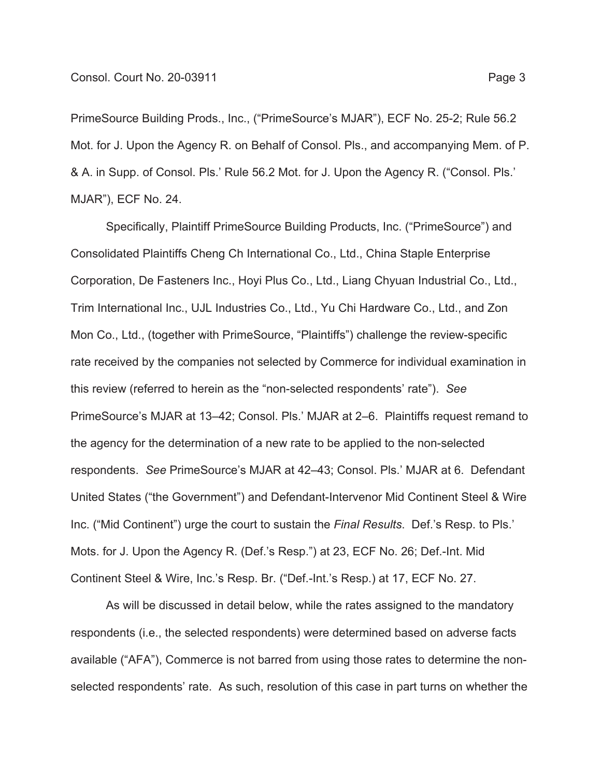PrimeSource Building Prods., Inc., ("PrimeSource's MJAR"), ECF No. 25-2; Rule 56.2 Mot. for J. Upon the Agency R. on Behalf of Consol. Pls., and accompanying Mem. of P. & A. in Supp. of Consol. Pls.' Rule 56.2 Mot. for J. Upon the Agency R. ("Consol. Pls.' MJAR"), ECF No. 24.

Specifically, Plaintiff PrimeSource Building Products, Inc. ("PrimeSource") and Consolidated Plaintiffs Cheng Ch International Co., Ltd., China Staple Enterprise Corporation, De Fasteners Inc., Hoyi Plus Co., Ltd., Liang Chyuan Industrial Co., Ltd., Trim International Inc., UJL Industries Co., Ltd., Yu Chi Hardware Co., Ltd., and Zon Mon Co., Ltd., (together with PrimeSource, "Plaintiffs") challenge the review-specific rate received by the companies not selected by Commerce for individual examination in this review (referred to herein as the "non-selected respondents' rate"). *See* PrimeSource's MJAR at 13–42; Consol. Pls.' MJAR at 2–6. Plaintiffs request remand to the agency for the determination of a new rate to be applied to the non-selected respondents. *See* PrimeSource's MJAR at 42–43; Consol. Pls.' MJAR at 6. Defendant United States ("the Government") and Defendant-Intervenor Mid Continent Steel & Wire Inc. ("Mid Continent") urge the court to sustain the *Final Results*. Def.'s Resp. to Pls.' Mots. for J. Upon the Agency R. (Def.'s Resp.") at 23, ECF No. 26; Def.-Int. Mid Continent Steel & Wire, Inc.'s Resp. Br. ("Def.-Int.'s Resp.) at 17, ECF No. 27.

As will be discussed in detail below, while the rates assigned to the mandatory respondents (i.e., the selected respondents) were determined based on adverse facts available ("AFA"), Commerce is not barred from using those rates to determine the nonselected respondents' rate. As such, resolution of this case in part turns on whether the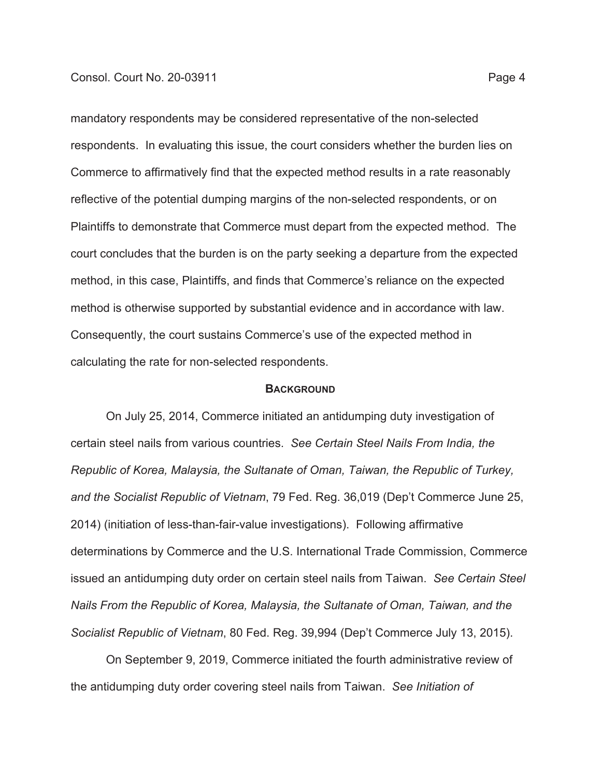mandatory respondents may be considered representative of the non-selected respondents. In evaluating this issue, the court considers whether the burden lies on Commerce to affirmatively find that the expected method results in a rate reasonably reflective of the potential dumping margins of the non-selected respondents, or on Plaintiffs to demonstrate that Commerce must depart from the expected method. The court concludes that the burden is on the party seeking a departure from the expected method, in this case, Plaintiffs, and finds that Commerce's reliance on the expected method is otherwise supported by substantial evidence and in accordance with law. Consequently, the court sustains Commerce's use of the expected method in calculating the rate for non-selected respondents.

#### **BACKGROUND**

On July 25, 2014, Commerce initiated an antidumping duty investigation of certain steel nails from various countries. *See Certain Steel Nails From India, the Republic of Korea, Malaysia, the Sultanate of Oman, Taiwan, the Republic of Turkey, and the Socialist Republic of Vietnam*, 79 Fed. Reg. 36,019 (Dep't Commerce June 25, 2014) (initiation of less-than-fair-value investigations). Following affirmative determinations by Commerce and the U.S. International Trade Commission, Commerce issued an antidumping duty order on certain steel nails from Taiwan. *See Certain Steel Nails From the Republic of Korea, Malaysia, the Sultanate of Oman, Taiwan, and the Socialist Republic of Vietnam*, 80 Fed. Reg. 39,994 (Dep't Commerce July 13, 2015).

On September 9, 2019, Commerce initiated the fourth administrative review of the antidumping duty order covering steel nails from Taiwan. *See Initiation of*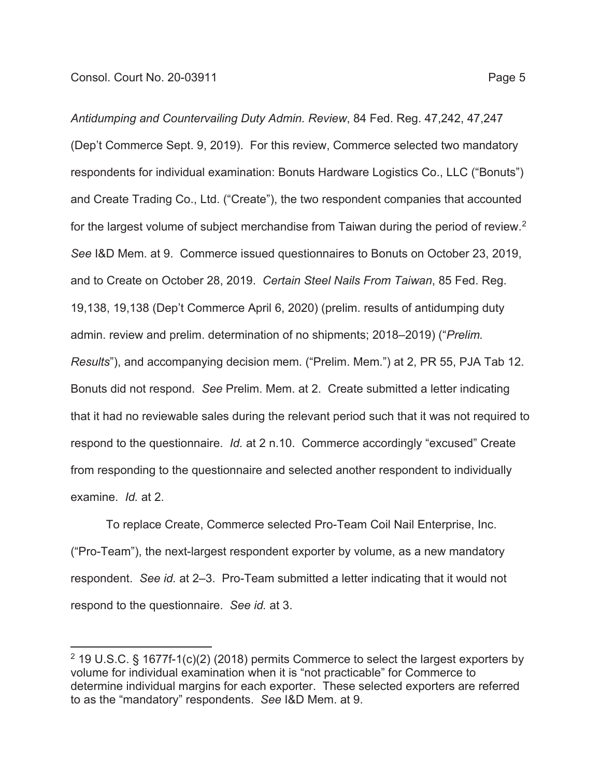*Antidumping and Countervailing Duty Admin. Review*, 84 Fed. Reg. 47,242, 47,247 (Dep't Commerce Sept. 9, 2019). For this review, Commerce selected two mandatory respondents for individual examination: Bonuts Hardware Logistics Co., LLC ("Bonuts") and Create Trading Co., Ltd. ("Create"), the two respondent companies that accounted for the largest volume of subject merchandise from Taiwan during the period of review.<sup>2</sup> *See* I&D Mem. at 9. Commerce issued questionnaires to Bonuts on October 23, 2019, and to Create on October 28, 2019. *Certain Steel Nails From Taiwan*, 85 Fed. Reg. 19,138, 19,138 (Dep't Commerce April 6, 2020) (prelim. results of antidumping duty admin. review and prelim. determination of no shipments; 2018–2019) ("*Prelim. Results*"), and accompanying decision mem. ("Prelim. Mem.") at 2, PR 55, PJA Tab 12. Bonuts did not respond. *See* Prelim. Mem. at 2. Create submitted a letter indicating that it had no reviewable sales during the relevant period such that it was not required to respond to the questionnaire. *Id.* at 2 n.10. Commerce accordingly "excused" Create from responding to the questionnaire and selected another respondent to individually examine. *Id.* at 2.

To replace Create, Commerce selected Pro-Team Coil Nail Enterprise, Inc. ("Pro-Team"), the next-largest respondent exporter by volume, as a new mandatory respondent. *See id.* at 2–3. Pro-Team submitted a letter indicating that it would not respond to the questionnaire. *See id.* at 3.

<sup>&</sup>lt;sup>2</sup> 19 U.S.C. § 1677f-1(c)(2) (2018) permits Commerce to select the largest exporters by volume for individual examination when it is "not practicable" for Commerce to determine individual margins for each exporter. These selected exporters are referred to as the "mandatory" respondents. *See* I&D Mem. at 9.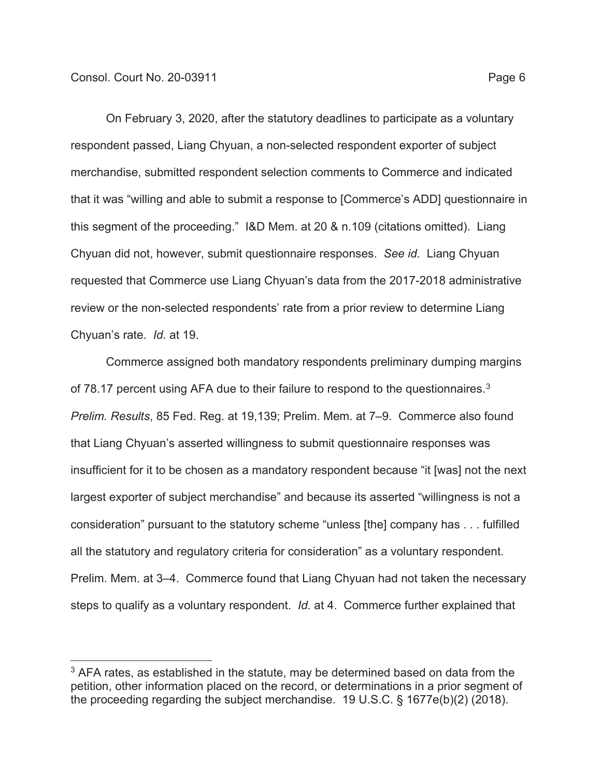On February 3, 2020, after the statutory deadlines to participate as a voluntary respondent passed, Liang Chyuan, a non-selected respondent exporter of subject merchandise, submitted respondent selection comments to Commerce and indicated that it was "willing and able to submit a response to [Commerce's ADD] questionnaire in this segment of the proceeding." I&D Mem. at 20 & n.109 (citations omitted). Liang Chyuan did not, however, submit questionnaire responses. *See id.* Liang Chyuan requested that Commerce use Liang Chyuan's data from the 2017-2018 administrative review or the non-selected respondents' rate from a prior review to determine Liang Chyuan's rate. *Id.* at 19.

Commerce assigned both mandatory respondents preliminary dumping margins of 78.17 percent using AFA due to their failure to respond to the questionnaires.<sup>3</sup> *Prelim. Results*, 85 Fed. Reg. at 19,139; Prelim. Mem. at 7–9. Commerce also found that Liang Chyuan's asserted willingness to submit questionnaire responses was insufficient for it to be chosen as a mandatory respondent because "it [was] not the next largest exporter of subject merchandise" and because its asserted "willingness is not a consideration" pursuant to the statutory scheme "unless [the] company has . . . fulfilled all the statutory and regulatory criteria for consideration" as a voluntary respondent. Prelim. Mem. at 3–4. Commerce found that Liang Chyuan had not taken the necessary steps to qualify as a voluntary respondent. *Id.* at 4. Commerce further explained that

 $3$  AFA rates, as established in the statute, may be determined based on data from the petition, other information placed on the record, or determinations in a prior segment of the proceeding regarding the subject merchandise. 19 U.S.C. § 1677e(b)(2) (2018).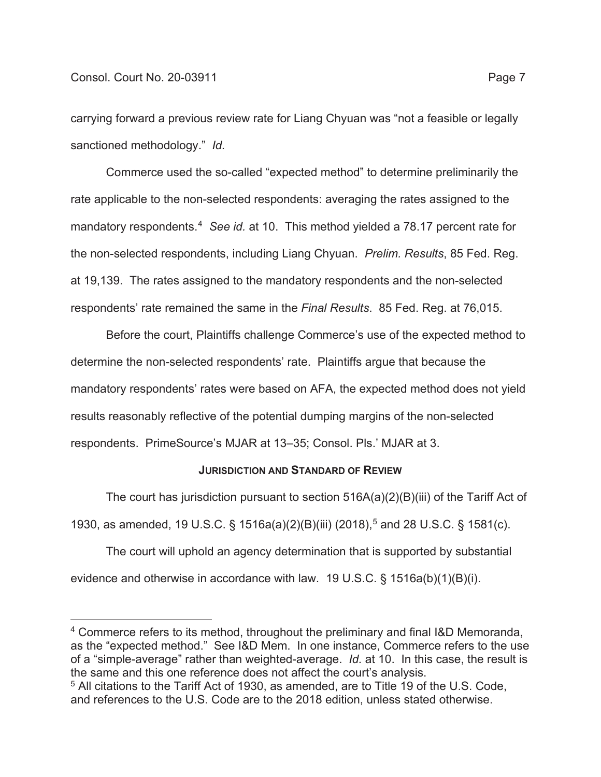carrying forward a previous review rate for Liang Chyuan was "not a feasible or legally sanctioned methodology." *Id.*

Commerce used the so-called "expected method" to determine preliminarily the rate applicable to the non-selected respondents: averaging the rates assigned to the mandatory respondents.4 *See id.* at 10. This method yielded a 78.17 percent rate for the non-selected respondents, including Liang Chyuan. *Prelim. Results*, 85 Fed. Reg. at 19,139. The rates assigned to the mandatory respondents and the non-selected respondents' rate remained the same in the *Final Results*. 85 Fed. Reg. at 76,015.

Before the court, Plaintiffs challenge Commerce's use of the expected method to determine the non-selected respondents' rate. Plaintiffs argue that because the mandatory respondents' rates were based on AFA, the expected method does not yield results reasonably reflective of the potential dumping margins of the non-selected respondents. PrimeSource's MJAR at 13–35; Consol. Pls.' MJAR at 3.

### **JURISDICTION AND STANDARD OF REVIEW**

The court has jurisdiction pursuant to section 516A(a)(2)(B)(iii) of the Tariff Act of 1930, as amended, 19 U.S.C. § 1516a(a)(2)(B)(iii) (2018),5 and 28 U.S.C. § 1581(c).

The court will uphold an agency determination that is supported by substantial evidence and otherwise in accordance with law. 19 U.S.C. § 1516a(b)(1)(B)(i).

<sup>4</sup> Commerce refers to its method, throughout the preliminary and final I&D Memoranda, as the "expected method." See I&D Mem. In one instance, Commerce refers to the use of a "simple-average" rather than weighted-average. *Id.* at 10. In this case, the result is the same and this one reference does not affect the court's analysis.

<sup>5</sup> All citations to the Tariff Act of 1930, as amended, are to Title 19 of the U.S. Code, and references to the U.S. Code are to the 2018 edition, unless stated otherwise.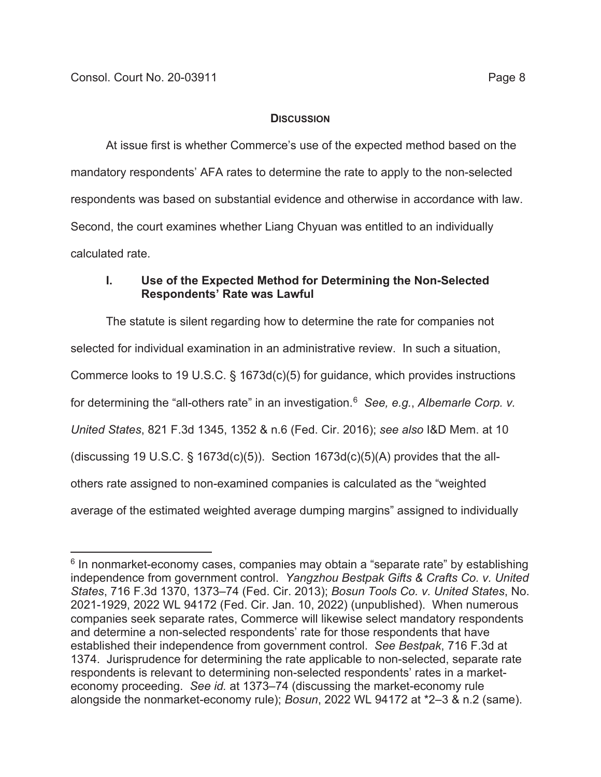## **DISCUSSION**

At issue first is whether Commerce's use of the expected method based on the mandatory respondents' AFA rates to determine the rate to apply to the non-selected respondents was based on substantial evidence and otherwise in accordance with law. Second, the court examines whether Liang Chyuan was entitled to an individually calculated rate.

# **I. Use of the Expected Method for Determining the Non-Selected Respondents' Rate was Lawful**

The statute is silent regarding how to determine the rate for companies not selected for individual examination in an administrative review. In such a situation, Commerce looks to 19 U.S.C. § 1673d(c)(5) for guidance, which provides instructions for determining the "all-others rate" in an investigation.6 *See, e.g.*, *Albemarle Corp. v. United States*, 821 F.3d 1345, 1352 & n.6 (Fed. Cir. 2016); *see also* I&D Mem. at 10 (discussing 19 U.S.C.  $\S$  1673d(c)(5)). Section 1673d(c)(5)(A) provides that the allothers rate assigned to non-examined companies is calculated as the "weighted average of the estimated weighted average dumping margins" assigned to individually

<sup>&</sup>lt;sup>6</sup> In nonmarket-economy cases, companies may obtain a "separate rate" by establishing independence from government control. *Yangzhou Bestpak Gifts & Crafts Co. v. United States*, 716 F.3d 1370, 1373–74 (Fed. Cir. 2013); *Bosun Tools Co. v. United States*, No. 2021-1929, 2022 WL 94172 (Fed. Cir. Jan. 10, 2022) (unpublished). When numerous companies seek separate rates, Commerce will likewise select mandatory respondents and determine a non-selected respondents' rate for those respondents that have established their independence from government control. *See Bestpak*, 716 F.3d at 1374. Jurisprudence for determining the rate applicable to non-selected, separate rate respondents is relevant to determining non-selected respondents' rates in a marketeconomy proceeding. *See id.* at 1373–74 (discussing the market-economy rule alongside the nonmarket-economy rule); *Bosun*, 2022 WL 94172 at \*2–3 & n.2 (same).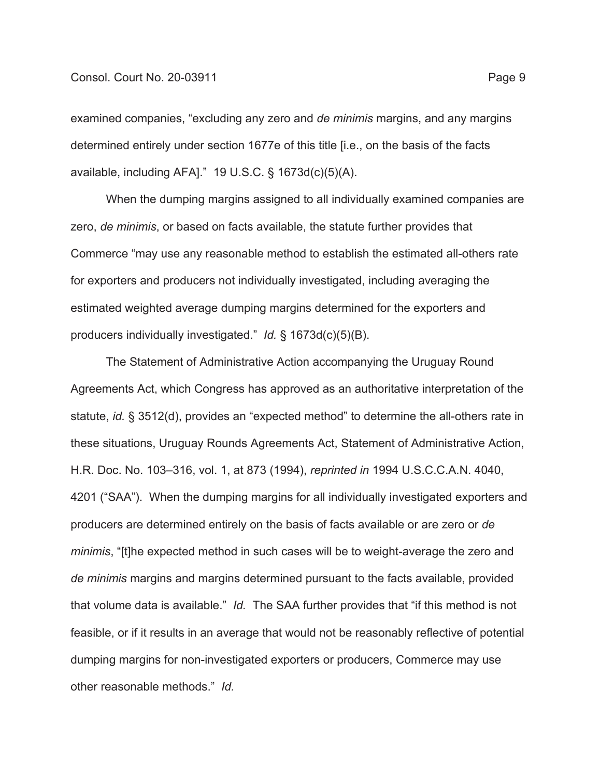#### Consol. Court No. 20-03911 Page 9

examined companies, "excluding any zero and *de minimis* margins, and any margins determined entirely under section 1677e of this title [i.e., on the basis of the facts available, including AFA]." 19 U.S.C. § 1673d(c)(5)(A).

When the dumping margins assigned to all individually examined companies are zero, *de minimis*, or based on facts available, the statute further provides that Commerce "may use any reasonable method to establish the estimated all-others rate for exporters and producers not individually investigated, including averaging the estimated weighted average dumping margins determined for the exporters and producers individually investigated." *Id.* § 1673d(c)(5)(B).

The Statement of Administrative Action accompanying the Uruguay Round Agreements Act, which Congress has approved as an authoritative interpretation of the statute, *id.* § 3512(d), provides an "expected method" to determine the all-others rate in these situations, Uruguay Rounds Agreements Act, Statement of Administrative Action, H.R. Doc. No. 103–316, vol. 1, at 873 (1994), *reprinted in* 1994 U.S.C.C.A.N. 4040, 4201 ("SAA"). When the dumping margins for all individually investigated exporters and producers are determined entirely on the basis of facts available or are zero or *de minimis*, "[t]he expected method in such cases will be to weight-average the zero and *de minimis* margins and margins determined pursuant to the facts available, provided that volume data is available." *Id.* The SAA further provides that "if this method is not feasible, or if it results in an average that would not be reasonably reflective of potential dumping margins for non-investigated exporters or producers, Commerce may use other reasonable methods." *Id.*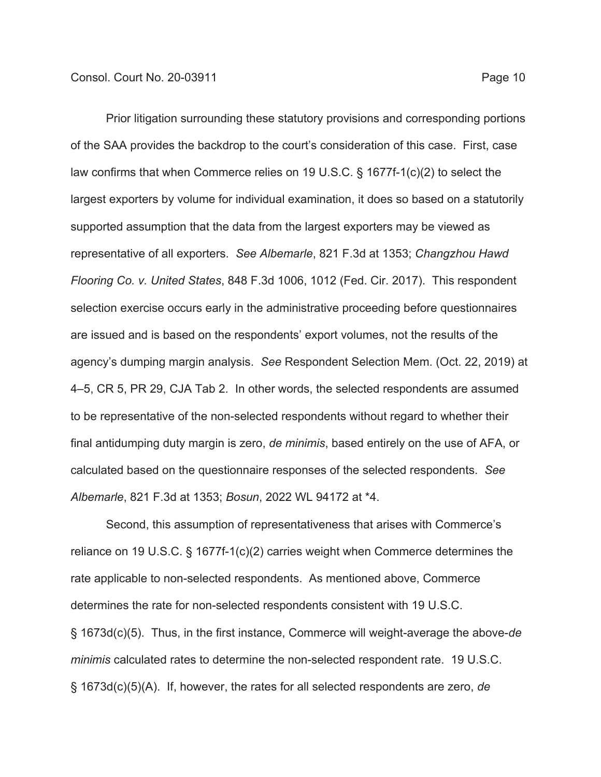Prior litigation surrounding these statutory provisions and corresponding portions of the SAA provides the backdrop to the court's consideration of this case. First, case law confirms that when Commerce relies on 19 U.S.C. § 1677f-1(c)(2) to select the largest exporters by volume for individual examination, it does so based on a statutorily supported assumption that the data from the largest exporters may be viewed as representative of all exporters. *See Albemarle*, 821 F.3d at 1353; *Changzhou Hawd Flooring Co. v. United States*, 848 F.3d 1006, 1012 (Fed. Cir. 2017). This respondent selection exercise occurs early in the administrative proceeding before questionnaires are issued and is based on the respondents' export volumes, not the results of the agency's dumping margin analysis. *See* Respondent Selection Mem. (Oct. 22, 2019) at 4–5, CR 5, PR 29, CJA Tab 2. In other words, the selected respondents are assumed to be representative of the non-selected respondents without regard to whether their final antidumping duty margin is zero, *de minimis*, based entirely on the use of AFA, or calculated based on the questionnaire responses of the selected respondents. *See Albemarle*, 821 F.3d at 1353; *Bosun*, 2022 WL 94172 at \*4.

Second, this assumption of representativeness that arises with Commerce's reliance on 19 U.S.C. § 1677f-1(c)(2) carries weight when Commerce determines the rate applicable to non-selected respondents. As mentioned above, Commerce determines the rate for non-selected respondents consistent with 19 U.S.C. § 1673d(c)(5). Thus, in the first instance, Commerce will weight-average the above-*de minimis* calculated rates to determine the non-selected respondent rate. 19 U.S.C. § 1673d(c)(5)(A). If, however, the rates for all selected respondents are zero, *de*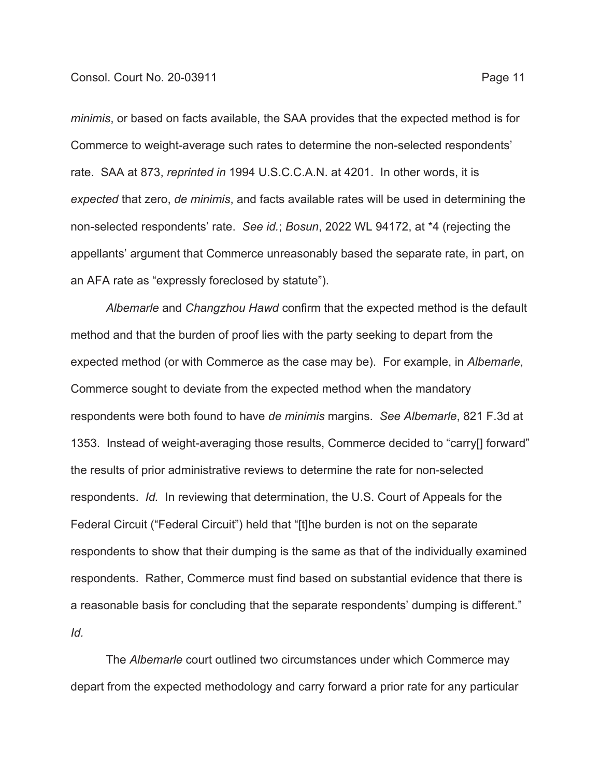*minimis*, or based on facts available, the SAA provides that the expected method is for Commerce to weight-average such rates to determine the non-selected respondents' rate. SAA at 873, *reprinted in* 1994 U.S.C.C.A.N. at 4201. In other words, it is *expected* that zero, *de minimis*, and facts available rates will be used in determining the non-selected respondents' rate. *See id.*; *Bosun*, 2022 WL 94172, at \*4 (rejecting the appellants' argument that Commerce unreasonably based the separate rate, in part, on an AFA rate as "expressly foreclosed by statute").

*Albemarle* and *Changzhou Hawd* confirm that the expected method is the default method and that the burden of proof lies with the party seeking to depart from the expected method (or with Commerce as the case may be). For example, in *Albemarle*, Commerce sought to deviate from the expected method when the mandatory respondents were both found to have *de minimis* margins. *See Albemarle*, 821 F.3d at 1353. Instead of weight-averaging those results, Commerce decided to "carry[] forward" the results of prior administrative reviews to determine the rate for non-selected respondents. *Id.* In reviewing that determination, the U.S. Court of Appeals for the Federal Circuit ("Federal Circuit") held that "[t]he burden is not on the separate respondents to show that their dumping is the same as that of the individually examined respondents. Rather, Commerce must find based on substantial evidence that there is a reasonable basis for concluding that the separate respondents' dumping is different." *Id.*

The *Albemarle* court outlined two circumstances under which Commerce may depart from the expected methodology and carry forward a prior rate for any particular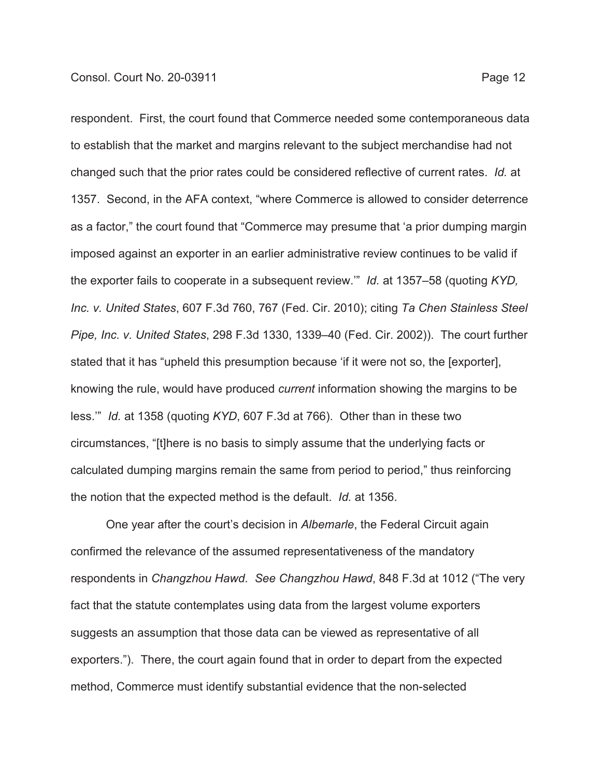respondent. First, the court found that Commerce needed some contemporaneous data to establish that the market and margins relevant to the subject merchandise had not changed such that the prior rates could be considered reflective of current rates. *Id.* at 1357. Second, in the AFA context, "where Commerce is allowed to consider deterrence as a factor," the court found that "Commerce may presume that 'a prior dumping margin imposed against an exporter in an earlier administrative review continues to be valid if the exporter fails to cooperate in a subsequent review.'" *Id.* at 1357–58 (quoting *KYD, Inc. v. United States*, 607 F.3d 760, 767 (Fed. Cir. 2010); citing *Ta Chen Stainless Steel Pipe, Inc. v. United States*, 298 F.3d 1330, 1339–40 (Fed. Cir. 2002)). The court further stated that it has "upheld this presumption because 'if it were not so, the [exporter], knowing the rule, would have produced *current* information showing the margins to be less.'" *Id.* at 1358 (quoting *KYD*, 607 F.3d at 766). Other than in these two circumstances, "[t]here is no basis to simply assume that the underlying facts or calculated dumping margins remain the same from period to period," thus reinforcing the notion that the expected method is the default. *Id.* at 1356.

One year after the court's decision in *Albemarle*, the Federal Circuit again confirmed the relevance of the assumed representativeness of the mandatory respondents in *Changzhou Hawd*. *See Changzhou Hawd*, 848 F.3d at 1012 ("The very fact that the statute contemplates using data from the largest volume exporters suggests an assumption that those data can be viewed as representative of all exporters."). There, the court again found that in order to depart from the expected method, Commerce must identify substantial evidence that the non-selected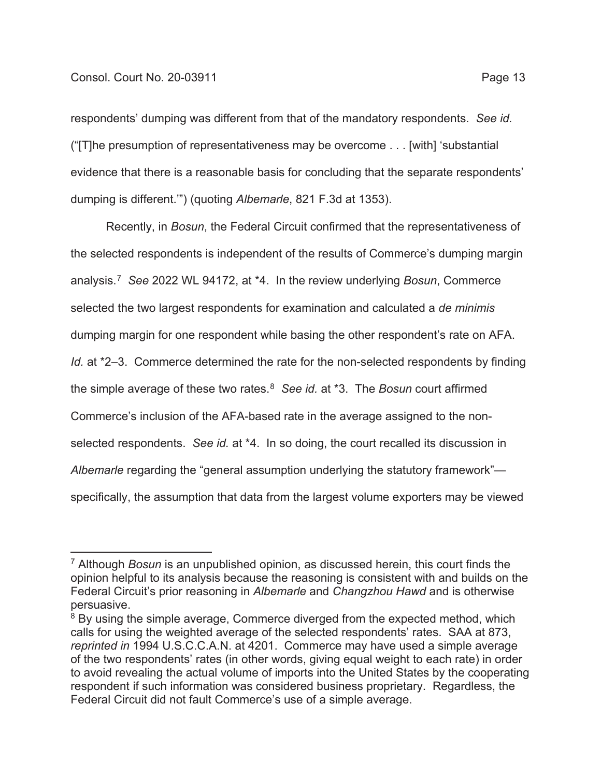respondents' dumping was different from that of the mandatory respondents. *See id.* ("[T]he presumption of representativeness may be overcome . . . [with] 'substantial evidence that there is a reasonable basis for concluding that the separate respondents' dumping is different.'") (quoting *Albemarle*, 821 F.3d at 1353).

Recently, in *Bosun*, the Federal Circuit confirmed that the representativeness of the selected respondents is independent of the results of Commerce's dumping margin analysis.7 *See* 2022 WL 94172, at \*4. In the review underlying *Bosun*, Commerce selected the two largest respondents for examination and calculated a *de minimis* dumping margin for one respondent while basing the other respondent's rate on AFA. *Id.* at \*2–3. Commerce determined the rate for the non-selected respondents by finding the simple average of these two rates.8 *See id.* at \*3. The *Bosun* court affirmed Commerce's inclusion of the AFA-based rate in the average assigned to the nonselected respondents. *See id.* at \*4. In so doing, the court recalled its discussion in *Albemarle* regarding the "general assumption underlying the statutory framework" specifically, the assumption that data from the largest volume exporters may be viewed

<sup>7</sup> Although *Bosun* is an unpublished opinion, as discussed herein, this court finds the opinion helpful to its analysis because the reasoning is consistent with and builds on the Federal Circuit's prior reasoning in *Albemarle* and *Changzhou Hawd* and is otherwise persuasive.

<sup>&</sup>lt;sup>8</sup> By using the simple average, Commerce diverged from the expected method, which calls for using the weighted average of the selected respondents' rates. SAA at 873, *reprinted in* 1994 U.S.C.C.A.N. at 4201. Commerce may have used a simple average of the two respondents' rates (in other words, giving equal weight to each rate) in order to avoid revealing the actual volume of imports into the United States by the cooperating respondent if such information was considered business proprietary. Regardless, the Federal Circuit did not fault Commerce's use of a simple average.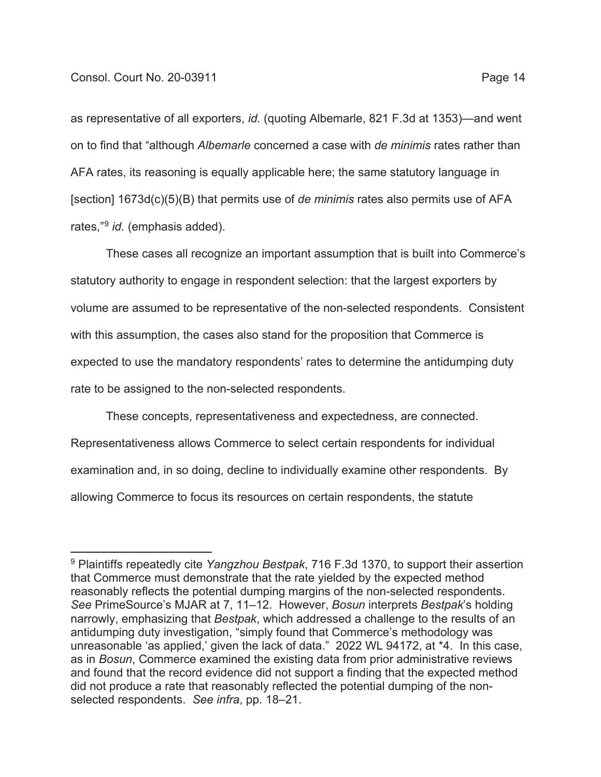as representative of all exporters, *id.* (quoting Albemarle, 821 F.3d at 1353)—and went on to find that "although *Albemarle* concerned a case with *de minimis* rates rather than AFA rates, its reasoning is equally applicable here; the same statutory language in [section] 1673d(c)(5)(B) that permits use of *de minimis* rates also permits use of AFA rates,"9 *id.* (emphasis added).

These cases all recognize an important assumption that is built into Commerce's statutory authority to engage in respondent selection: that the largest exporters by volume are assumed to be representative of the non-selected respondents. Consistent with this assumption, the cases also stand for the proposition that Commerce is expected to use the mandatory respondents' rates to determine the antidumping duty rate to be assigned to the non-selected respondents.

These concepts, representativeness and expectedness, are connected. Representativeness allows Commerce to select certain respondents for individual examination and, in so doing, decline to individually examine other respondents. By allowing Commerce to focus its resources on certain respondents, the statute

<sup>9</sup> Plaintiffs repeatedly cite *Yangzhou Bestpak*, 716 F.3d 1370, to support their assertion that Commerce must demonstrate that the rate yielded by the expected method reasonably reflects the potential dumping margins of the non-selected respondents. *See* PrimeSource's MJAR at 7, 11–12. However, *Bosun* interprets *Bestpak*'s holding narrowly, emphasizing that *Bestpak*, which addressed a challenge to the results of an antidumping duty investigation, "simply found that Commerce's methodology was unreasonable 'as applied,' given the lack of data." 2022 WL 94172, at \*4. In this case, as in *Bosun*, Commerce examined the existing data from prior administrative reviews and found that the record evidence did not support a finding that the expected method did not produce a rate that reasonably reflected the potential dumping of the nonselected respondents. *See infra*, pp. 18–21.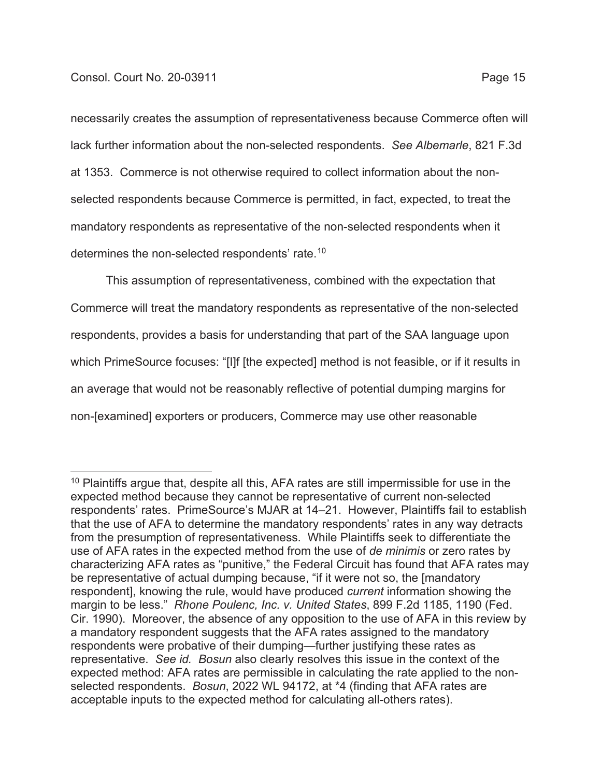## Consol. Court No. 20-03911 **Page 15**

necessarily creates the assumption of representativeness because Commerce often will lack further information about the non-selected respondents. *See Albemarle*, 821 F.3d at 1353. Commerce is not otherwise required to collect information about the nonselected respondents because Commerce is permitted, in fact, expected, to treat the mandatory respondents as representative of the non-selected respondents when it determines the non-selected respondents' rate.10

This assumption of representativeness, combined with the expectation that Commerce will treat the mandatory respondents as representative of the non-selected respondents, provides a basis for understanding that part of the SAA language upon which PrimeSource focuses: "[I]f [the expected] method is not feasible, or if it results in an average that would not be reasonably reflective of potential dumping margins for non-[examined] exporters or producers, Commerce may use other reasonable

 $10$  Plaintiffs argue that, despite all this, AFA rates are still impermissible for use in the expected method because they cannot be representative of current non-selected respondents' rates. PrimeSource's MJAR at 14–21. However, Plaintiffs fail to establish that the use of AFA to determine the mandatory respondents' rates in any way detracts from the presumption of representativeness. While Plaintiffs seek to differentiate the use of AFA rates in the expected method from the use of *de minimis* or zero rates by characterizing AFA rates as "punitive," the Federal Circuit has found that AFA rates may be representative of actual dumping because, "if it were not so, the [mandatory respondent], knowing the rule, would have produced *current* information showing the margin to be less." *Rhone Poulenc, Inc. v. United States*, 899 F.2d 1185, 1190 (Fed. Cir. 1990). Moreover, the absence of any opposition to the use of AFA in this review by a mandatory respondent suggests that the AFA rates assigned to the mandatory respondents were probative of their dumping—further justifying these rates as representative. *See id. Bosun* also clearly resolves this issue in the context of the expected method: AFA rates are permissible in calculating the rate applied to the nonselected respondents. *Bosun*, 2022 WL 94172, at \*4 (finding that AFA rates are acceptable inputs to the expected method for calculating all-others rates).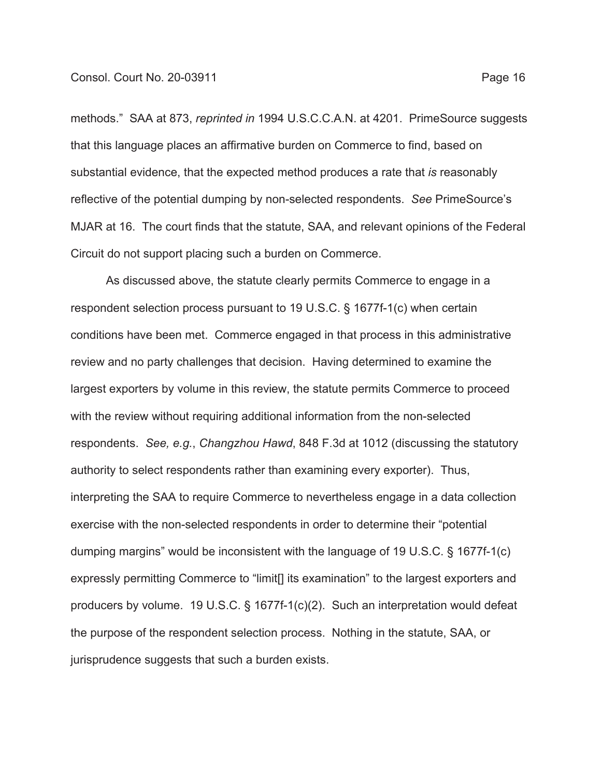methods." SAA at 873, *reprinted in* 1994 U.S.C.C.A.N. at 4201. PrimeSource suggests that this language places an affirmative burden on Commerce to find, based on substantial evidence, that the expected method produces a rate that *is* reasonably reflective of the potential dumping by non-selected respondents. *See* PrimeSource's MJAR at 16. The court finds that the statute, SAA, and relevant opinions of the Federal Circuit do not support placing such a burden on Commerce.

As discussed above, the statute clearly permits Commerce to engage in a respondent selection process pursuant to 19 U.S.C. § 1677f-1(c) when certain conditions have been met. Commerce engaged in that process in this administrative review and no party challenges that decision. Having determined to examine the largest exporters by volume in this review, the statute permits Commerce to proceed with the review without requiring additional information from the non-selected respondents. *See, e.g.*, *Changzhou Hawd*, 848 F.3d at 1012 (discussing the statutory authority to select respondents rather than examining every exporter). Thus, interpreting the SAA to require Commerce to nevertheless engage in a data collection exercise with the non-selected respondents in order to determine their "potential dumping margins" would be inconsistent with the language of 19 U.S.C. § 1677f-1(c) expressly permitting Commerce to "limit<sup>[]</sup> its examination" to the largest exporters and producers by volume. 19 U.S.C. § 1677f-1(c)(2). Such an interpretation would defeat the purpose of the respondent selection process. Nothing in the statute, SAA, or jurisprudence suggests that such a burden exists.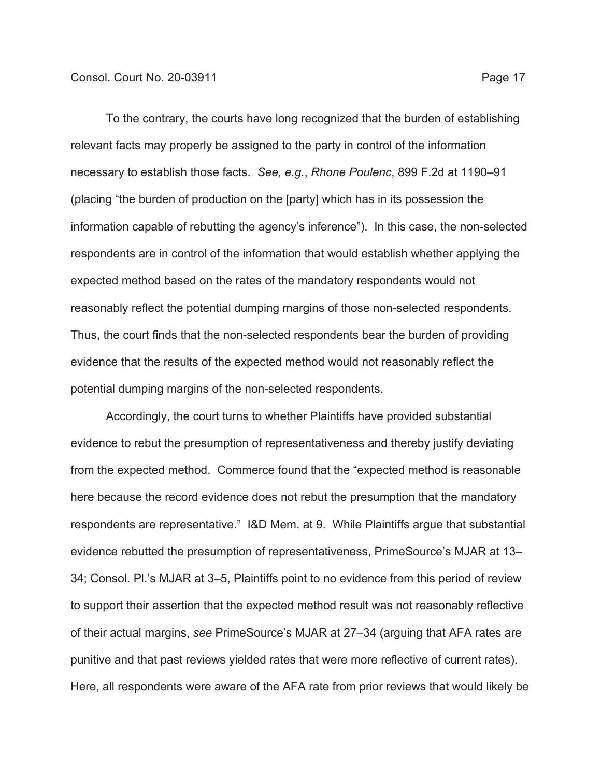To the contrary, the courts have long recognized that the burden of establishing relevant facts may properly be assigned to the party in control of the information necessary to establish those facts. *See, e.g.*, *Rhone Poulenc*, 899 F.2d at 1190–91 (placing "the burden of production on the [party] which has in its possession the information capable of rebutting the agency's inference"). In this case, the non-selected respondents are in control of the information that would establish whether applying the expected method based on the rates of the mandatory respondents would not reasonably reflect the potential dumping margins of those non-selected respondents. Thus, the court finds that the non-selected respondents bear the burden of providing evidence that the results of the expected method would not reasonably reflect the potential dumping margins of the non-selected respondents.

Accordingly, the court turns to whether Plaintiffs have provided substantial evidence to rebut the presumption of representativeness and thereby justify deviating from the expected method. Commerce found that the "expected method is reasonable here because the record evidence does not rebut the presumption that the mandatory respondents are representative." I&D Mem. at 9. While Plaintiffs argue that substantial evidence rebutted the presumption of representativeness, PrimeSource's MJAR at 13– 34; Consol. Pl.'s MJAR at 3–5, Plaintiffs point to no evidence from this period of review to support their assertion that the expected method result was not reasonably reflective of their actual margins, *see* PrimeSource's MJAR at 27–34 (arguing that AFA rates are punitive and that past reviews yielded rates that were more reflective of current rates). Here, all respondents were aware of the AFA rate from prior reviews that would likely be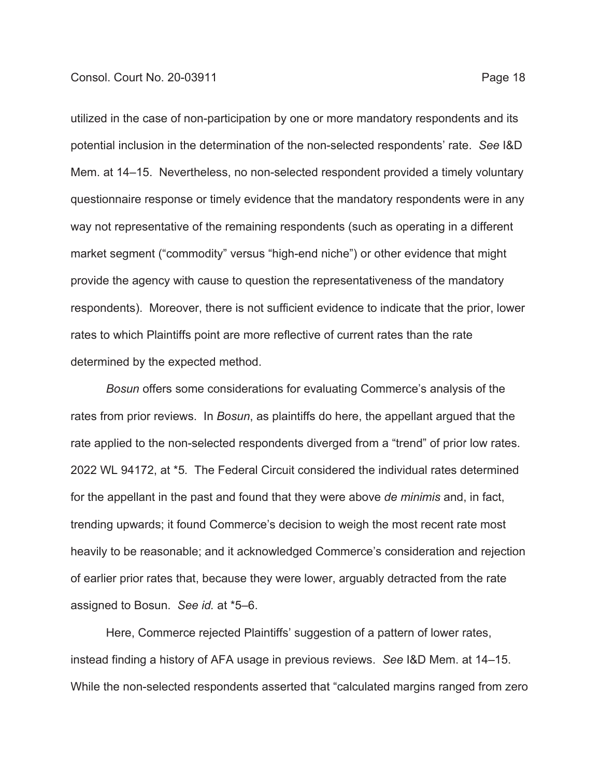utilized in the case of non-participation by one or more mandatory respondents and its potential inclusion in the determination of the non-selected respondents' rate. *See* I&D Mem. at 14–15. Nevertheless, no non-selected respondent provided a timely voluntary questionnaire response or timely evidence that the mandatory respondents were in any way not representative of the remaining respondents (such as operating in a different market segment ("commodity" versus "high-end niche") or other evidence that might provide the agency with cause to question the representativeness of the mandatory respondents). Moreover, there is not sufficient evidence to indicate that the prior, lower rates to which Plaintiffs point are more reflective of current rates than the rate determined by the expected method.

*Bosun* offers some considerations for evaluating Commerce's analysis of the rates from prior reviews. In *Bosun*, as plaintiffs do here, the appellant argued that the rate applied to the non-selected respondents diverged from a "trend" of prior low rates. 2022 WL 94172, at \*5*.* The Federal Circuit considered the individual rates determined for the appellant in the past and found that they were above *de minimis* and, in fact, trending upwards; it found Commerce's decision to weigh the most recent rate most heavily to be reasonable; and it acknowledged Commerce's consideration and rejection of earlier prior rates that, because they were lower, arguably detracted from the rate assigned to Bosun. *See id.* at \*5–6.

Here, Commerce rejected Plaintiffs' suggestion of a pattern of lower rates, instead finding a history of AFA usage in previous reviews. *See* I&D Mem. at 14–15. While the non-selected respondents asserted that "calculated margins ranged from zero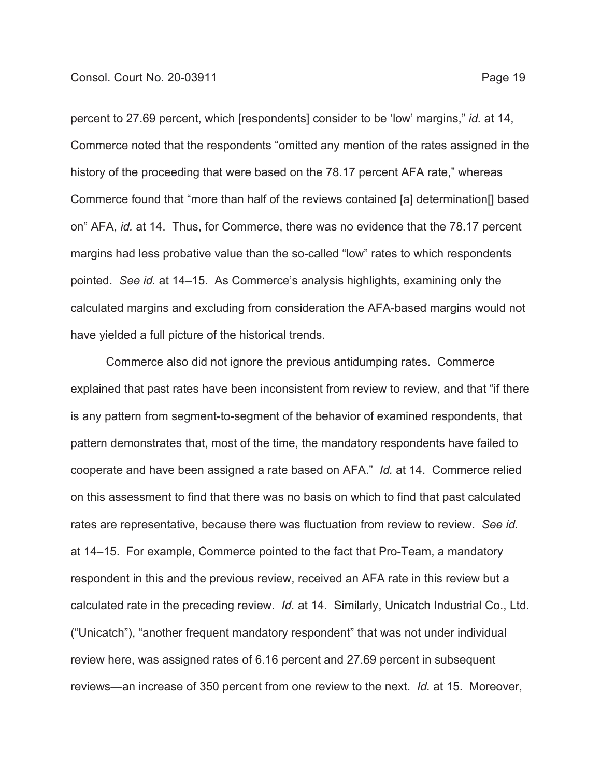percent to 27.69 percent, which [respondents] consider to be 'low' margins," *id.* at 14, Commerce noted that the respondents "omitted any mention of the rates assigned in the history of the proceeding that were based on the 78.17 percent AFA rate," whereas Commerce found that "more than half of the reviews contained [a] determination[] based on" AFA, *id.* at 14. Thus, for Commerce, there was no evidence that the 78.17 percent margins had less probative value than the so-called "low" rates to which respondents pointed. *See id.* at 14–15. As Commerce's analysis highlights, examining only the calculated margins and excluding from consideration the AFA-based margins would not have yielded a full picture of the historical trends.

Commerce also did not ignore the previous antidumping rates. Commerce explained that past rates have been inconsistent from review to review, and that "if there is any pattern from segment-to-segment of the behavior of examined respondents, that pattern demonstrates that, most of the time, the mandatory respondents have failed to cooperate and have been assigned a rate based on AFA." *Id.* at 14. Commerce relied on this assessment to find that there was no basis on which to find that past calculated rates are representative, because there was fluctuation from review to review. *See id.* at 14–15. For example, Commerce pointed to the fact that Pro-Team, a mandatory respondent in this and the previous review, received an AFA rate in this review but a calculated rate in the preceding review. *Id.* at 14. Similarly, Unicatch Industrial Co., Ltd. ("Unicatch"), "another frequent mandatory respondent" that was not under individual review here, was assigned rates of 6.16 percent and 27.69 percent in subsequent reviews—an increase of 350 percent from one review to the next. *Id.* at 15. Moreover,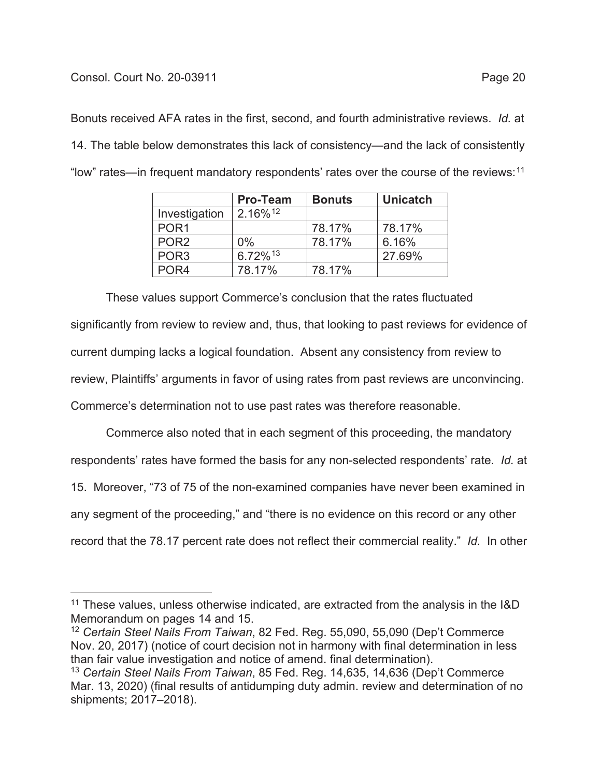## Consol. Court No. 20-03911 **Page 20**

Bonuts received AFA rates in the first, second, and fourth administrative reviews. *Id.* at 14. The table below demonstrates this lack of consistency—and the lack of consistently "low" rates—in frequent mandatory respondents' rates over the course of the reviews: $11$ 

|                  | <b>Pro-Team</b>     | <b>Bonuts</b> | <b>Unicatch</b> |
|------------------|---------------------|---------------|-----------------|
| Investigation    | 2.16%12             |               |                 |
| POR <sub>1</sub> |                     | 78.17%        | 78.17%          |
| POR <sub>2</sub> | $0\%$               | 78.17%        | 6.16%           |
| POR <sub>3</sub> | 6.72% <sup>13</sup> |               | 27.69%          |
| POR <sub>4</sub> | 78.17%              | 78.17%        |                 |

These values support Commerce's conclusion that the rates fluctuated significantly from review to review and, thus, that looking to past reviews for evidence of current dumping lacks a logical foundation. Absent any consistency from review to review, Plaintiffs' arguments in favor of using rates from past reviews are unconvincing. Commerce's determination not to use past rates was therefore reasonable.

Commerce also noted that in each segment of this proceeding, the mandatory respondents' rates have formed the basis for any non-selected respondents' rate. *Id.* at 15. Moreover, "73 of 75 of the non-examined companies have never been examined in any segment of the proceeding," and "there is no evidence on this record or any other record that the 78.17 percent rate does not reflect their commercial reality." *Id.* In other

 $11$  These values, unless otherwise indicated, are extracted from the analysis in the I&D Memorandum on pages 14 and 15.

<sup>12</sup> *Certain Steel Nails From Taiwan*, 82 Fed. Reg. 55,090, 55,090 (Dep't Commerce Nov. 20, 2017) (notice of court decision not in harmony with final determination in less than fair value investigation and notice of amend. final determination).

<sup>13</sup> *Certain Steel Nails From Taiwan*, 85 Fed. Reg. 14,635, 14,636 (Dep't Commerce Mar. 13, 2020) (final results of antidumping duty admin. review and determination of no shipments; 2017–2018).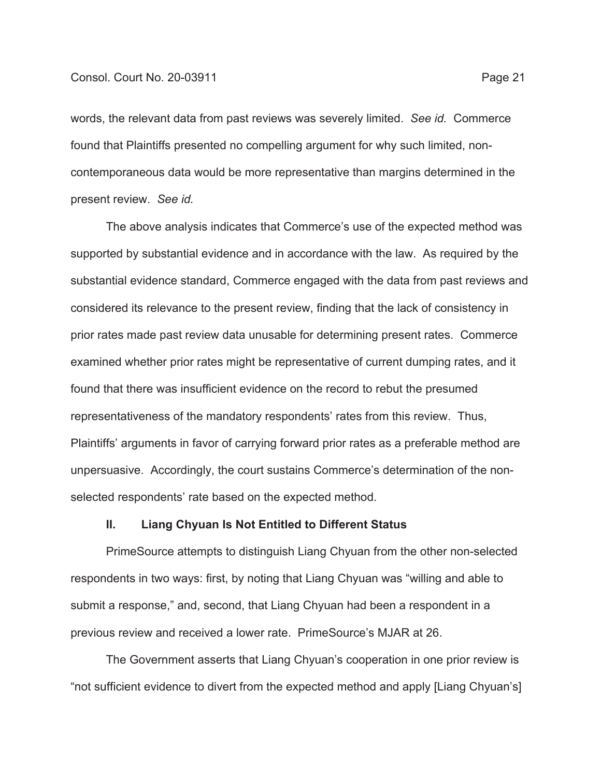words, the relevant data from past reviews was severely limited. *See id.* Commerce found that Plaintiffs presented no compelling argument for why such limited, noncontemporaneous data would be more representative than margins determined in the present review. *See id.*

The above analysis indicates that Commerce's use of the expected method was supported by substantial evidence and in accordance with the law. As required by the substantial evidence standard, Commerce engaged with the data from past reviews and considered its relevance to the present review, finding that the lack of consistency in prior rates made past review data unusable for determining present rates. Commerce examined whether prior rates might be representative of current dumping rates, and it found that there was insufficient evidence on the record to rebut the presumed representativeness of the mandatory respondents' rates from this review. Thus, Plaintiffs' arguments in favor of carrying forward prior rates as a preferable method are unpersuasive. Accordingly, the court sustains Commerce's determination of the nonselected respondents' rate based on the expected method.

## **II. Liang Chyuan Is Not Entitled to Different Status**

PrimeSource attempts to distinguish Liang Chyuan from the other non-selected respondents in two ways: first, by noting that Liang Chyuan was "willing and able to submit a response," and, second, that Liang Chyuan had been a respondent in a previous review and received a lower rate. PrimeSource's MJAR at 26.

The Government asserts that Liang Chyuan's cooperation in one prior review is "not sufficient evidence to divert from the expected method and apply [Liang Chyuan's]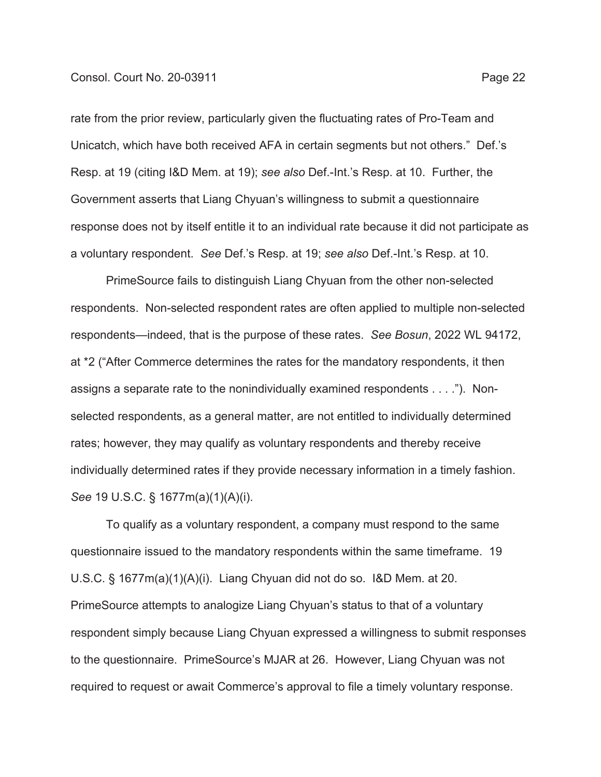### Consol. Court No. 20-03911 **Page 22**

rate from the prior review, particularly given the fluctuating rates of Pro-Team and Unicatch, which have both received AFA in certain segments but not others." Def.'s Resp. at 19 (citing I&D Mem. at 19); *see also* Def.-Int.'s Resp. at 10. Further, the Government asserts that Liang Chyuan's willingness to submit a questionnaire response does not by itself entitle it to an individual rate because it did not participate as a voluntary respondent. *See* Def.'s Resp. at 19; *see also* Def.-Int.'s Resp. at 10.

PrimeSource fails to distinguish Liang Chyuan from the other non-selected respondents. Non-selected respondent rates are often applied to multiple non-selected respondents—indeed, that is the purpose of these rates. *See Bosun*, 2022 WL 94172, at \*2 ("After Commerce determines the rates for the mandatory respondents, it then assigns a separate rate to the nonindividually examined respondents . . . ."). Nonselected respondents, as a general matter, are not entitled to individually determined rates; however, they may qualify as voluntary respondents and thereby receive individually determined rates if they provide necessary information in a timely fashion. *See* 19 U.S.C. § 1677m(a)(1)(A)(i).

To qualify as a voluntary respondent, a company must respond to the same questionnaire issued to the mandatory respondents within the same timeframe. 19 U.S.C. § 1677m(a)(1)(A)(i). Liang Chyuan did not do so. I&D Mem. at 20. PrimeSource attempts to analogize Liang Chyuan's status to that of a voluntary respondent simply because Liang Chyuan expressed a willingness to submit responses to the questionnaire. PrimeSource's MJAR at 26. However, Liang Chyuan was not required to request or await Commerce's approval to file a timely voluntary response.